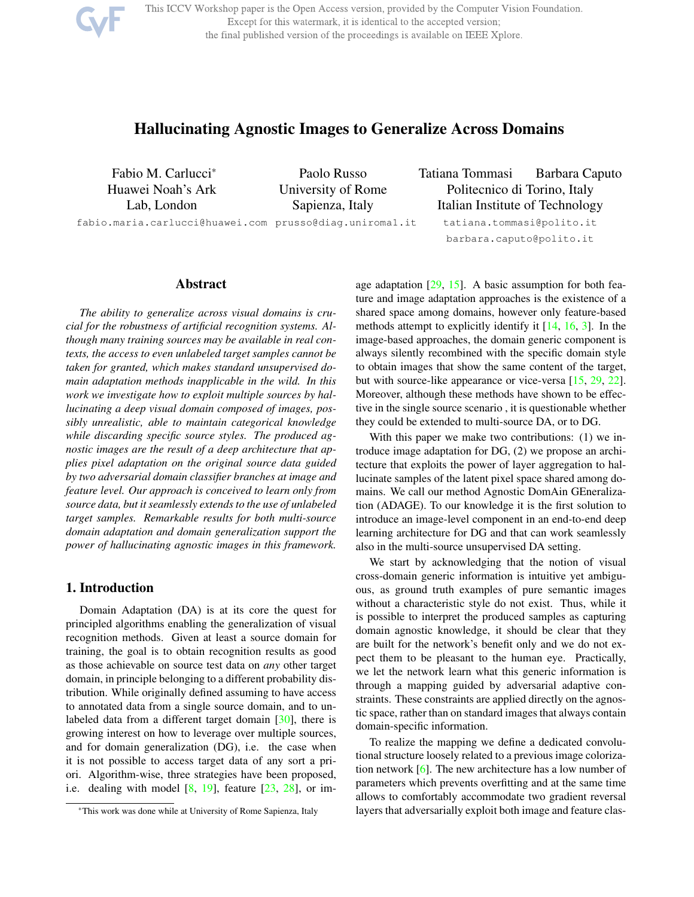

# Hallucinating Agnostic Images to Generalize Across Domains

Fabio M. Carlucci\* Huawei Noah's Ark Lab, London

Paolo Russo University of Rome Sapienza, Italy

fabio.maria.carlucci@huawei.com prusso@diag.uniroma1.it

Tatiana Tommasi Barbara Caputo Politecnico di Torino, Italy Italian Institute of Technology

tatiana.tommasi@polito.it barbara.caputo@polito.it

### Abstract

*The ability to generalize across visual domains is crucial for the robustness of artificial recognition systems. Although many training sources may be available in real contexts, the access to even unlabeled target samples cannot be taken for granted, which makes standard unsupervised domain adaptation methods inapplicable in the wild. In this work we investigate how to exploit multiple sources by hallucinating a deep visual domain composed of images, possibly unrealistic, able to maintain categorical knowledge while discarding specific source styles. The produced agnostic images are the result of a deep architecture that applies pixel adaptation on the original source data guided by two adversarial domain classifier branches at image and feature level. Our approach is conceived to learn only from source data, but it seamlessly extends to the use of unlabeled target samples. Remarkable results for both multi-source domain adaptation and domain generalization support the power of hallucinating agnostic images in this framework.*

# 1. Introduction

Domain Adaptation (DA) is at its core the quest for principled algorithms enabling the generalization of visual recognition methods. Given at least a source domain for training, the goal is to obtain recognition results as good as those achievable on source test data on *any* other target domain, in principle belonging to a different probability distribution. While originally defined assuming to have access to annotated data from a single source domain, and to unlabeled data from a different target domain [30], there is growing interest on how to leverage over multiple sources, and for domain generalization (DG), i.e. the case when it is not possible to access target data of any sort a priori. Algorithm-wise, three strategies have been proposed, i.e. dealing with model  $[8, 19]$ , feature  $[23, 28]$ , or image adaptation  $[29, 15]$ . A basic assumption for both feature and image adaptation approaches is the existence of a shared space among domains, however only feature-based methods attempt to explicitly identify it  $[14, 16, 3]$ . In the image-based approaches, the domain generic component is always silently recombined with the specific domain style to obtain images that show the same content of the target, but with source-like appearance or vice-versa [15, 29, 22]. Moreover, although these methods have shown to be effective in the single source scenario , it is questionable whether they could be extended to multi-source DA, or to DG.

With this paper we make two contributions: (1) we introduce image adaptation for DG, (2) we propose an architecture that exploits the power of layer aggregation to hallucinate samples of the latent pixel space shared among domains. We call our method Agnostic DomAin GEneralization (ADAGE). To our knowledge it is the first solution to introduce an image-level component in an end-to-end deep learning architecture for DG and that can work seamlessly also in the multi-source unsupervised DA setting.

We start by acknowledging that the notion of visual cross-domain generic information is intuitive yet ambiguous, as ground truth examples of pure semantic images without a characteristic style do not exist. Thus, while it is possible to interpret the produced samples as capturing domain agnostic knowledge, it should be clear that they are built for the network's benefit only and we do not expect them to be pleasant to the human eye. Practically, we let the network learn what this generic information is through a mapping guided by adversarial adaptive constraints. These constraints are applied directly on the agnostic space, rather than on standard images that always contain domain-specific information.

To realize the mapping we define a dedicated convolutional structure loosely related to a previous image colorization network  $[6]$ . The new architecture has a low number of parameters which prevents overfitting and at the same time allows to comfortably accommodate two gradient reversal layers that adversarially exploit both image and feature clas-

<sup>\*</sup>This work was done while at University of Rome Sapienza, Italy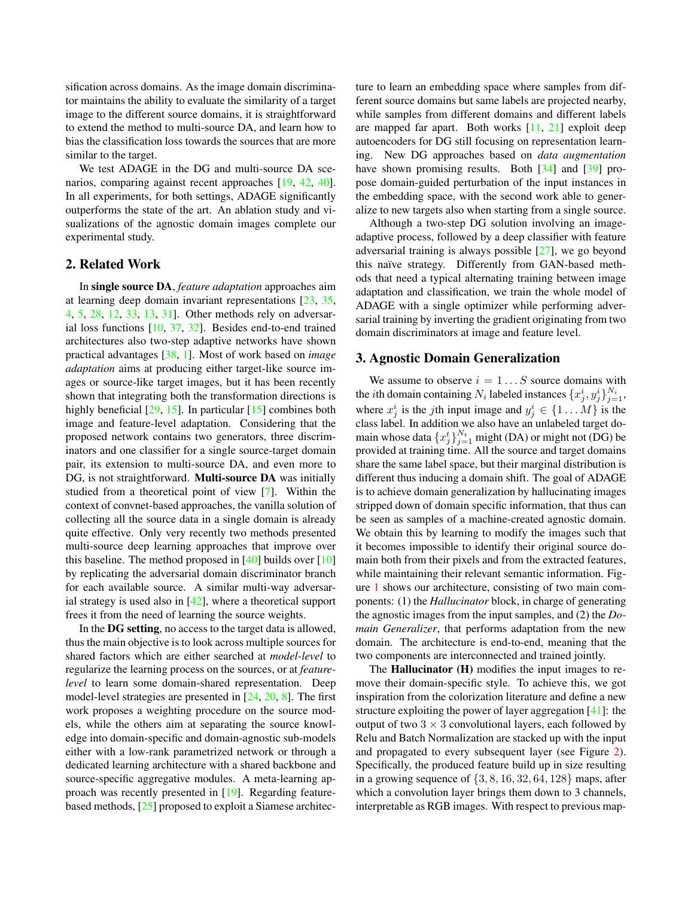sification across domains. As the image domain discriminator maintains the ability to evaluate the similarity of a target image to the different source domains, it is straightforward to extend the method to multi-source DA, and learn how to bias the classification loss towards the sources that are more similar to the target.

We test ADAGE in the DG and multi-source DA scenarios, comparing against recent approaches [19, 42, 40]. In all experiments, for both settings, ADAGE significantly outperforms the state of the art. An ablation study and visualizations of the agnostic domain images complete our experimental study.

# 2. Related Work

In single source DA, *feature adaptation* approaches aim at learning deep domain invariant representations [23, 35, 4, 5, 28, 12, 33, 13, 31]. Other methods rely on adversarial loss functions [10, 37, 32]. Besides end-to-end trained architectures also two-step adaptive networks have shown practical advantages [38, 1]. Most of work based on *image adaptation* aims at producing either target-like source images or source-like target images, but it has been recently shown that integrating both the transformation directions is highly beneficial [29, 15]. In particular [15] combines both image and feature-level adaptation. Considering that the proposed network contains two generators, three discriminators and one classifier for a single source-target domain pair, its extension to multi-source DA, and even more to DG, is not straightforward. Multi-source DA was initially studied from a theoretical point of view [7]. Within the context of convnet-based approaches, the vanilla solution of collecting all the source data in a single domain is already quite effective. Only very recently two methods presented multi-source deep learning approaches that improve over this baseline. The method proposed in [40] builds over [10] by replicating the adversarial domain discriminator branch for each available source. A similar multi-way adversarial strategy is used also in  $[42]$ , where a theoretical support frees it from the need of learning the source weights.

In the DG setting, no access to the target data is allowed, thus the main objective is to look across multiple sources for shared factors which are either searched at *model-level* to regularize the learning process on the sources, or at *featurelevel* to learn some domain-shared representation. Deep model-level strategies are presented in [24, 20, 8]. The first work proposes a weighting procedure on the source models, while the others aim at separating the source knowledge into domain-specific and domain-agnostic sub-models either with a low-rank parametrized network or through a dedicated learning architecture with a shared backbone and source-specific aggregative modules. A meta-learning approach was recently presented in [19]. Regarding featurebased methods, [25] proposed to exploit a Siamese architecture to learn an embedding space where samples from different source domains but same labels are projected nearby, while samples from different domains and different labels are mapped far apart. Both works [11, 21] exploit deep autoencoders for DG still focusing on representation learning. New DG approaches based on *data augmentation* have shown promising results. Both [34] and [39] propose domain-guided perturbation of the input instances in the embedding space, with the second work able to generalize to new targets also when starting from a single source.

Although a two-step DG solution involving an imageadaptive process, followed by a deep classifier with feature adversarial training is always possible [27], we go beyond this naïve strategy. Differently from GAN-based methods that need a typical alternating training between image adaptation and classification, we train the whole model of ADAGE with a single optimizer while performing adversarial training by inverting the gradient originating from two domain discriminators at image and feature level.

#### 3. Agnostic Domain Generalization

We assume to observe  $i = 1...S$  source domains with the *i*th domain containing  $N_i$  labeled instances  $\{x_j^i, y_j^i\}_{j=1}^{N_i}$ , where  $x_j^i$  is the *j*th input image and  $y_j^i \in \{1...M\}$  is the class label. In addition we also have an unlabeled target domain whose data  $\{x_j^t\}_{j=1}^{N_t}$  might (DA) or might not (DG) be provided at training time. All the source and target domains share the same label space, but their marginal distribution is different thus inducing a domain shift. The goal of ADAGE is to achieve domain generalization by hallucinating images stripped down of domain specific information, that thus can be seen as samples of a machine-created agnostic domain. We obtain this by learning to modify the images such that it becomes impossible to identify their original source domain both from their pixels and from the extracted features, while maintaining their relevant semantic information. Figure 1 shows our architecture, consisting of two main components: (1) the *Hallucinator* block, in charge of generating the agnostic images from the input samples, and (2) the *Domain Generalizer*, that performs adaptation from the new domain. The architecture is end-to-end, meaning that the two components are interconnected and trained jointly.

The **Hallucinator**  $(H)$  modifies the input images to remove their domain-specific style. To achieve this, we got inspiration from the colorization literature and define a new structure exploiting the power of layer aggregation  $[41]$ : the output of two  $3 \times 3$  convolutional layers, each followed by Relu and Batch Normalization are stacked up with the input and propagated to every subsequent layer (see Figure 2). Specifically, the produced feature build up in size resulting in a growing sequence of  $\{3, 8, 16, 32, 64, 128\}$  maps, after which a convolution layer brings them down to 3 channels, interpretable as RGB images. With respect to previous map-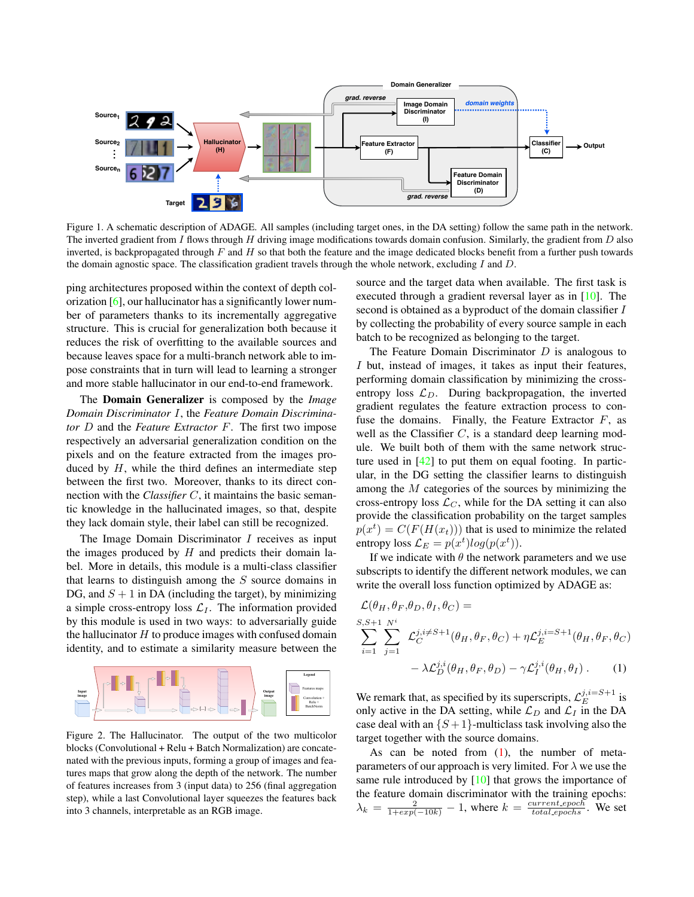

Figure 1. A schematic description of ADAGE. All samples (including target ones, in the DA setting) follow the same path in the network. The inverted gradient from I flows through H driving image modifications towards domain confusion. Similarly, the gradient from  $D$  also inverted, is backpropagated through  $F$  and  $H$  so that both the feature and the image dedicated blocks benefit from a further push towards the domain agnostic space. The classification gradient travels through the whole network, excluding  $I$  and  $D$ .

ping architectures proposed within the context of depth colorization [6], our hallucinator has a significantly lower number of parameters thanks to its incrementally aggregative structure. This is crucial for generalization both because it reduces the risk of overfitting to the available sources and because leaves space for a multi-branch network able to impose constraints that in turn will lead to learning a stronger and more stable hallucinator in our end-to-end framework.

The Domain Generalizer is composed by the *Image Domain Discriminator* I, the *Feature Domain Discriminator* D and the *Feature Extractor* F. The first two impose respectively an adversarial generalization condition on the pixels and on the feature extracted from the images produced by  $H$ , while the third defines an intermediate step between the first two. Moreover, thanks to its direct connection with the *Classifier* C, it maintains the basic semantic knowledge in the hallucinated images, so that, despite they lack domain style, their label can still be recognized.

The Image Domain Discriminator I receives as input the images produced by  $H$  and predicts their domain label. More in details, this module is a multi-class classifier that learns to distinguish among the  $S$  source domains in DG, and  $S + 1$  in DA (including the target), by minimizing a simple cross-entropy loss  $\mathcal{L}_I$ . The information provided by this module is used in two ways: to adversarially guide the hallucinator  $H$  to produce images with confused domain identity, and to estimate a similarity measure between the



Figure 2. The Hallucinator. The output of the two multicolor blocks (Convolutional + Relu + Batch Normalization) are concatenated with the previous inputs, forming a group of images and features maps that grow along the depth of the network. The number of features increases from 3 (input data) to 256 (final aggregation step), while a last Convolutional layer squeezes the features back into 3 channels, interpretable as an RGB image.

source and the target data when available. The first task is executed through a gradient reversal layer as in [10]. The second is obtained as a byproduct of the domain classifier I by collecting the probability of every source sample in each batch to be recognized as belonging to the target.

The Feature Domain Discriminator  $D$  is analogous to I but, instead of images, it takes as input their features, performing domain classification by minimizing the crossentropy loss  $\mathcal{L}_D$ . During backpropagation, the inverted gradient regulates the feature extraction process to confuse the domains. Finally, the Feature Extractor  $F$ , as well as the Classifier  $C$ , is a standard deep learning module. We built both of them with the same network structure used in  $[42]$  to put them on equal footing. In particular, in the DG setting the classifier learns to distinguish among the  $M$  categories of the sources by minimizing the cross-entropy loss  $\mathcal{L}_C$ , while for the DA setting it can also provide the classification probability on the target samples  $p(x^t) = C(F(H(x_t)))$  that is used to minimize the related entropy loss  $\mathcal{L}_E = p(x^t)log(p(x^t)).$ 

If we indicate with  $\theta$  the network parameters and we use subscripts to identify the different network modules, we can write the overall loss function optimized by ADAGE as:

$$
\mathcal{L}(\theta_H, \theta_F, \theta_D, \theta_I, \theta_C) =
$$
\n
$$
\sum_{i=1}^{S, S+1} \sum_{j=1}^{N^i} \mathcal{L}_C^{j, i \neq S+1}(\theta_H, \theta_F, \theta_C) + \eta \mathcal{L}_E^{j, i = S+1}(\theta_H, \theta_F, \theta_C)
$$
\n
$$
-\lambda \mathcal{L}_D^{j, i}(\theta_H, \theta_F, \theta_D) - \gamma \mathcal{L}_I^{j, i}(\theta_H, \theta_I). \tag{1}
$$

We remark that, as specified by its superscripts,  $\mathcal{L}_E^{j,i=S+1}$  is only active in the DA setting, while  $\mathcal{L}_D$  and  $\mathcal{L}_I$  in the DA case deal with an  $\{S+1\}$ -multiclass task involving also the target together with the source domains.

As can be noted from  $(1)$ , the number of metaparameters of our approach is very limited. For  $\lambda$  we use the same rule introduced by [10] that grows the importance of the feature domain discriminator with the training epochs:  $\lambda_k = \frac{2}{1 + exp(-10k)} - 1$ , where  $k = \frac{current\_epoch}{total\_epochs}$ . We set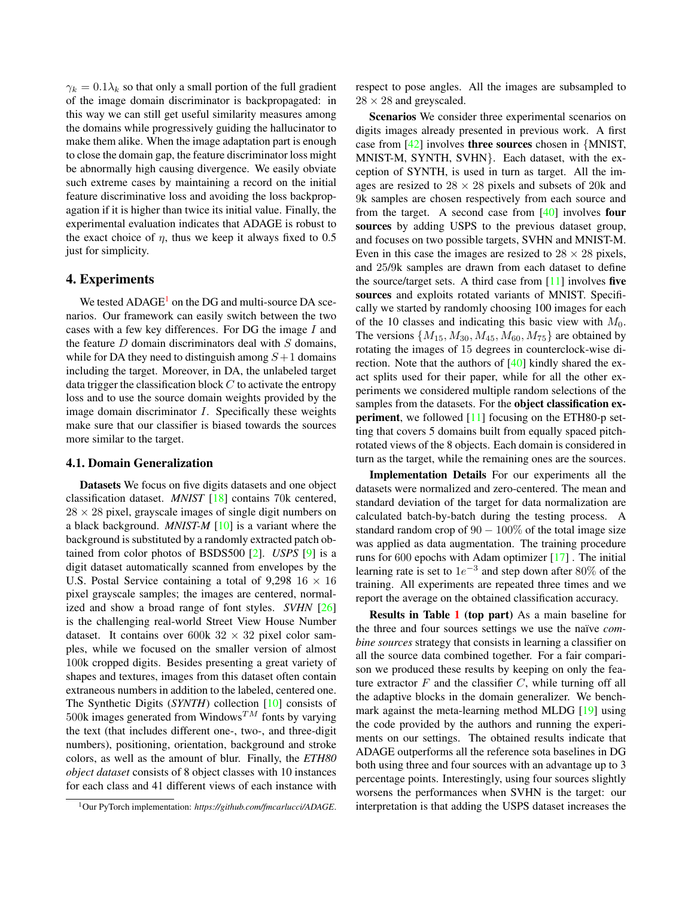$\gamma_k = 0.1 \lambda_k$  so that only a small portion of the full gradient of the image domain discriminator is backpropagated: in this way we can still get useful similarity measures among the domains while progressively guiding the hallucinator to make them alike. When the image adaptation part is enough to close the domain gap, the feature discriminator loss might be abnormally high causing divergence. We easily obviate such extreme cases by maintaining a record on the initial feature discriminative loss and avoiding the loss backpropagation if it is higher than twice its initial value. Finally, the experimental evaluation indicates that ADAGE is robust to the exact choice of  $\eta$ , thus we keep it always fixed to 0.5 just for simplicity.

# 4. Experiments

We tested  $ADAGE<sup>1</sup>$  on the DG and multi-source DA scenarios. Our framework can easily switch between the two cases with a few key differences. For DG the image  $I$  and the feature  $D$  domain discriminators deal with  $S$  domains, while for DA they need to distinguish among  $S+1$  domains including the target. Moreover, in DA, the unlabeled target data trigger the classification block  $C$  to activate the entropy loss and to use the source domain weights provided by the image domain discriminator I. Specifically these weights make sure that our classifier is biased towards the sources more similar to the target.

#### 4.1. Domain Generalization

Datasets We focus on five digits datasets and one object classification dataset. *MNIST* [18] contains 70k centered,  $28 \times 28$  pixel, grayscale images of single digit numbers on a black background. *MNIST-M* [10] is a variant where the background is substituted by a randomly extracted patch obtained from color photos of BSDS500 [2]. *USPS* [9] is a digit dataset automatically scanned from envelopes by the U.S. Postal Service containing a total of  $9,298$  16  $\times$  16 pixel grayscale samples; the images are centered, normalized and show a broad range of font styles. *SVHN* [26] is the challenging real-world Street View House Number dataset. It contains over 600k  $32 \times 32$  pixel color samples, while we focused on the smaller version of almost 100k cropped digits. Besides presenting a great variety of shapes and textures, images from this dataset often contain extraneous numbers in addition to the labeled, centered one. The Synthetic Digits (*SYNTH*) collection [10] consists of 500k images generated from Windows $^{TM}$  fonts by varying the text (that includes different one-, two-, and three-digit numbers), positioning, orientation, background and stroke colors, as well as the amount of blur. Finally, the *ETH80 object dataset* consists of 8 object classes with 10 instances for each class and 41 different views of each instance with respect to pose angles. All the images are subsampled to  $28 \times 28$  and greyscaled.

Scenarios We consider three experimental scenarios on digits images already presented in previous work. A first case from  $[42]$  involves **three sources** chosen in {MNIST, MNIST-M, SYNTH, SVHN}. Each dataset, with the exception of SYNTH, is used in turn as target. All the images are resized to  $28 \times 28$  pixels and subsets of 20k and 9k samples are chosen respectively from each source and from the target. A second case from  $[40]$  involves four sources by adding USPS to the previous dataset group, and focuses on two possible targets, SVHN and MNIST-M. Even in this case the images are resized to  $28 \times 28$  pixels, and 25/9k samples are drawn from each dataset to define the source/target sets. A third case from  $[11]$  involves five sources and exploits rotated variants of MNIST. Specifically we started by randomly choosing 100 images for each of the 10 classes and indicating this basic view with  $M_0$ . The versions  $\{M_{15}, M_{30}, M_{45}, M_{60}, M_{75}\}\$  are obtained by rotating the images of 15 degrees in counterclock-wise direction. Note that the authors of [40] kindly shared the exact splits used for their paper, while for all the other experiments we considered multiple random selections of the samples from the datasets. For the object classification ex**periment**, we followed [11] focusing on the ETH80-p setting that covers 5 domains built from equally spaced pitchrotated views of the 8 objects. Each domain is considered in turn as the target, while the remaining ones are the sources.

Implementation Details For our experiments all the datasets were normalized and zero-centered. The mean and standard deviation of the target for data normalization are calculated batch-by-batch during the testing process. A standard random crop of  $90 - 100\%$  of the total image size was applied as data augmentation. The training procedure runs for 600 epochs with Adam optimizer [17] . The initial learning rate is set to  $1e^{-3}$  and step down after 80% of the training. All experiments are repeated three times and we report the average on the obtained classification accuracy.

Results in Table 1 (top part) As a main baseline for the three and four sources settings we use the naïve *combine sources* strategy that consists in learning a classifier on all the source data combined together. For a fair comparison we produced these results by keeping on only the feature extractor  $F$  and the classifier  $C$ , while turning off all the adaptive blocks in the domain generalizer. We benchmark against the meta-learning method MLDG [19] using the code provided by the authors and running the experiments on our settings. The obtained results indicate that ADAGE outperforms all the reference sota baselines in DG both using three and four sources with an advantage up to 3 percentage points. Interestingly, using four sources slightly worsens the performances when SVHN is the target: our interpretation is that adding the USPS dataset increases the

<sup>1</sup>Our PyTorch implementation: *https://github.com/fmcarlucci/ADAGE*.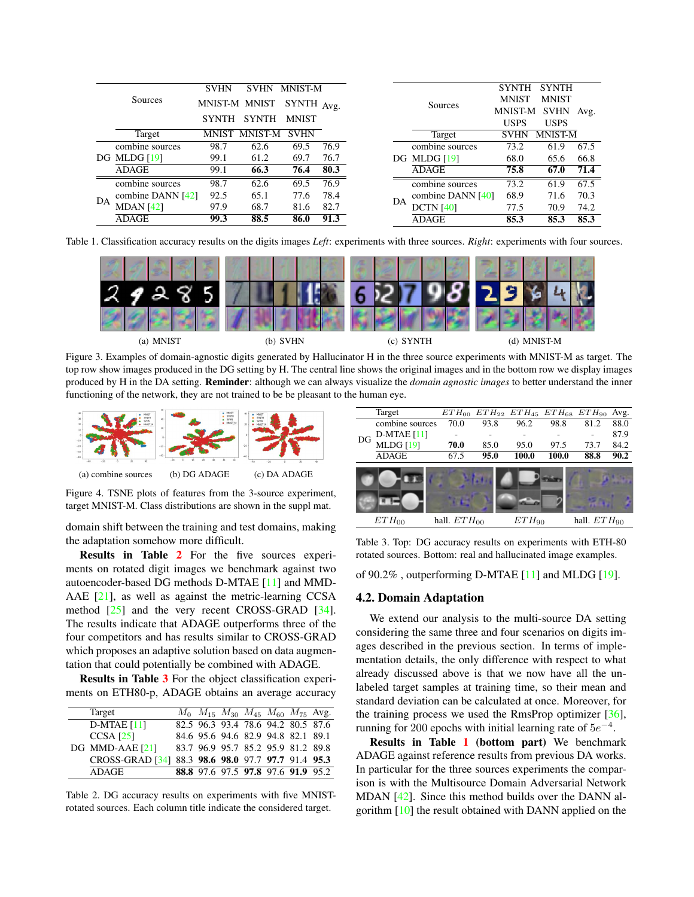|    |                   | <b>SVHN</b><br><b>MNIST-M</b><br><b>SVHN</b> |                |                            |      |  |    |                   | <b>SYNTH</b>                  | <b>SYNTH</b>             |      |
|----|-------------------|----------------------------------------------|----------------|----------------------------|------|--|----|-------------------|-------------------------------|--------------------------|------|
|    | Sources           | MNIST-M MNIST                                |                | SYNTH Avg.<br><b>MNIST</b> |      |  |    | Sources           | <b>MNIST</b>                  | <b>MNIST</b>             |      |
|    |                   | <b>SYNTH</b>                                 | <b>SYNTH</b>   |                            |      |  |    |                   | <b>MNIST-M</b><br><b>USPS</b> | SVHN Avg.<br><b>USPS</b> |      |
|    | Target            | <b>MNIST</b>                                 | <b>MNIST-M</b> | <b>SVHN</b>                |      |  |    | Target            | <b>SVHN</b>                   | <b>MNIST-M</b>           |      |
|    | combine sources   | 98.7                                         | 62.6           | 69.5                       | 76.9 |  |    | combine sources   | 73.2                          | 61.9                     | 67.5 |
|    | DG MLDG $[19]$    | 99.1                                         | 61.2           | 69.7                       | 76.7 |  |    | DG MLDG $[19]$    | 68.0                          | 65.6                     | 66.8 |
|    | <b>ADAGE</b>      | 99.1                                         | 66.3           | 76.4                       | 80.3 |  |    | <b>ADAGE</b>      | 75.8                          | 67.0                     | 71.4 |
|    | combine sources   | 98.7                                         | 62.6           | 69.5                       | 76.9 |  |    | combine sources   | 73.2                          | 61.9                     | 67.5 |
| DA | combine DANN [42] | 92.5                                         | 65.1           | 77.6                       | 78.4 |  |    | combine DANN [40] | 68.9                          | 71.6                     | 70.3 |
|    | MDAN $[42]$       | 97.9                                         | 68.7           | 81.6                       | 82.7 |  | DA | <b>DCTN</b> [40]  | 77.5                          | 70.9                     | 74.2 |
|    | <b>ADAGE</b>      | 99.3                                         | 88.5           | 86.0                       | 91.3 |  |    | <b>ADAGE</b>      | 85.3                          | 85.3                     | 85.3 |

Table 1. Classification accuracy results on the digits images *Left*: experiments with three sources. *Right*: experiments with four sources.



Figure 3. Examples of domain-agnostic digits generated by Hallucinator H in the three source experiments with MNIST-M as target. The top row show images produced in the DG setting by H. The central line shows the original images and in the bottom row we display images produced by H in the DA setting. Reminder: although we can always visualize the *domain agnostic images* to better understand the inner functioning of the network, they are not trained to be be pleasant to the human eye.



Figure 4. TSNE plots of features from the 3-source experiment, target MNIST-M. Class distributions are shown in the suppl mat.

domain shift between the training and test domains, making the adaptation somehow more difficult.

Results in Table 2 For the five sources experiments on rotated digit images we benchmark against two autoencoder-based DG methods D-MTAE [11] and MMD-AAE [21], as well as against the metric-learning CCSA method [25] and the very recent CROSS-GRAD [34]. The results indicate that ADAGE outperforms three of the four competitors and has results similar to CROSS-GRAD which proposes an adaptive solution based on data augmentation that could potentially be combined with ADAGE.

Results in Table 3 For the object classification experiments on ETH80-p, ADAGE obtains an average accuracy

|  | Target                                             |  |  | $M_0$ $M_{15}$ $M_{30}$ $M_{45}$ $M_{60}$ $M_{75}$ Avg. |  |
|--|----------------------------------------------------|--|--|---------------------------------------------------------|--|
|  | $D-MTAE$ [11]                                      |  |  | 82.5 96.3 93.4 78.6 94.2 80.5 87.6                      |  |
|  | CCSA [25]                                          |  |  | 84.6 95.6 94.6 82.9 94.8 82.1 89.1                      |  |
|  | DG MMD-AAE [21]                                    |  |  | 83.7 96.9 95.7 85.2 95.9 81.2 89.8                      |  |
|  | CROSS-GRAD [34] 88.3 98.6 98.0 97.7 97.7 91.4 95.3 |  |  |                                                         |  |
|  | ADAGE                                              |  |  | 88.8 97.6 97.5 97.8 97.6 91.9 95.2                      |  |

Table 2. DG accuracy results on experiments with five MNISTrotated sources. Each column title indicate the considered target.

|    | Target           | $ETH_{00}$       |      | $ETH_{22}$ $ETH_{45}$ $ETH_{68}$ |       | $ETH$ <sub>90</sub> | Avg. |
|----|------------------|------------------|------|----------------------------------|-------|---------------------|------|
| DG | combine sources  | 70.0             | 93.8 | 96.2                             | 98.8  | 81.2                | 88.0 |
|    | $D-MTAE$ [11]    |                  |      |                                  |       |                     | 87.9 |
|    | <b>MLDG</b> [19] | 70.0             | 85.0 | 95.0                             | 97.5  | 73.7                | 84.2 |
|    | <b>ADAGE</b>     | 67.5             | 95.0 | $\overline{100.0}$               | 100.0 | 88.8                | 90.2 |
|    |                  |                  |      |                                  |       |                     |      |
|    | $ETH_{00}$       | hall. $ETH_{00}$ |      | $ETH$ 90                         |       | hall. $ETH_{90}$    |      |

Table 3. Top: DG accuracy results on experiments with ETH-80 rotated sources. Bottom: real and hallucinated image examples.

of 90.2% , outperforming D-MTAE [11] and MLDG [19].

#### 4.2. Domain Adaptation

We extend our analysis to the multi-source DA setting considering the same three and four scenarios on digits images described in the previous section. In terms of implementation details, the only difference with respect to what already discussed above is that we now have all the unlabeled target samples at training time, so their mean and standard deviation can be calculated at once. Moreover, for the training process we used the RmsProp optimizer  $[36]$ , running for 200 epochs with initial learning rate of  $5e^{-4}$ .

Results in Table 1 (bottom part) We benchmark ADAGE against reference results from previous DA works. In particular for the three sources experiments the comparison is with the Multisource Domain Adversarial Network MDAN [42]. Since this method builds over the DANN algorithm [10] the result obtained with DANN applied on the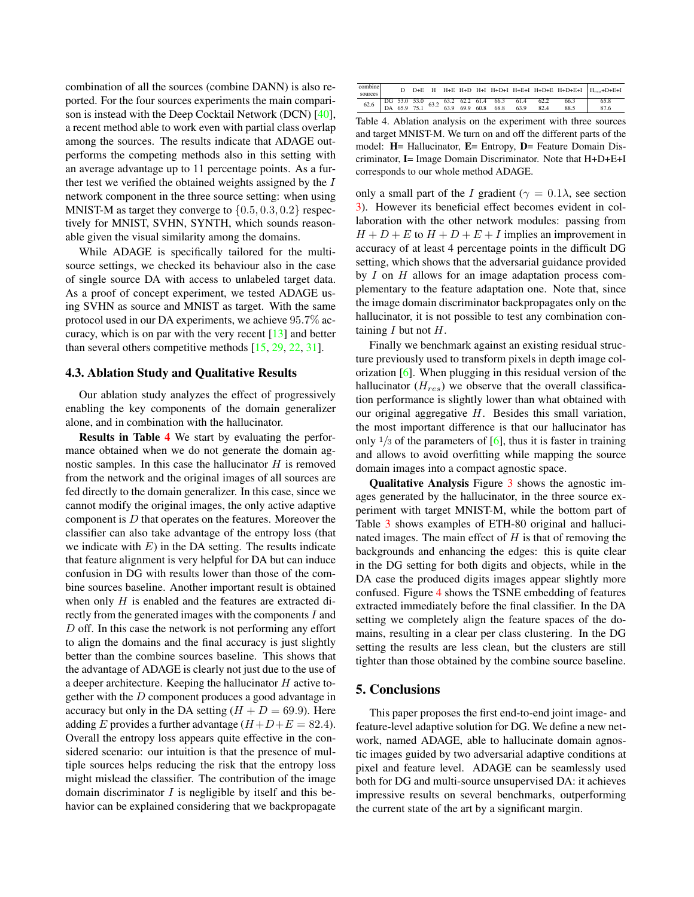combination of all the sources (combine DANN) is also reported. For the four sources experiments the main comparison is instead with the Deep Cocktail Network (DCN) [40], a recent method able to work even with partial class overlap among the sources. The results indicate that ADAGE outperforms the competing methods also in this setting with an average advantage up to 11 percentage points. As a further test we verified the obtained weights assigned by the  $I$ network component in the three source setting: when using MNIST-M as target they converge to  $\{0.5, 0.3, 0.2\}$  respectively for MNIST, SVHN, SYNTH, which sounds reasonable given the visual similarity among the domains.

While ADAGE is specifically tailored for the multisource settings, we checked its behaviour also in the case of single source DA with access to unlabeled target data. As a proof of concept experiment, we tested ADAGE using SVHN as source and MNIST as target. With the same protocol used in our DA experiments, we achieve 95.7% accuracy, which is on par with the very recent  $[13]$  and better than several others competitive methods [15, 29, 22, 31].

#### 4.3. Ablation Study and Qualitative Results

Our ablation study analyzes the effect of progressively enabling the key components of the domain generalizer alone, and in combination with the hallucinator.

Results in Table 4 We start by evaluating the performance obtained when we do not generate the domain agnostic samples. In this case the hallucinator  $H$  is removed from the network and the original images of all sources are fed directly to the domain generalizer. In this case, since we cannot modify the original images, the only active adaptive component is  $D$  that operates on the features. Moreover the classifier can also take advantage of the entropy loss (that we indicate with  $E$ ) in the DA setting. The results indicate that feature alignment is very helpful for DA but can induce confusion in DG with results lower than those of the combine sources baseline. Another important result is obtained when only  $H$  is enabled and the features are extracted directly from the generated images with the components I and D off. In this case the network is not performing any effort to align the domains and the final accuracy is just slightly better than the combine sources baseline. This shows that the advantage of ADAGE is clearly not just due to the use of a deeper architecture. Keeping the hallucinator  $H$  active together with the D component produces a good advantage in accuracy but only in the DA setting  $(H + D = 69.9)$ . Here adding E provides a further advantage  $(H+D+E = 82.4)$ . Overall the entropy loss appears quite effective in the considered scenario: our intuition is that the presence of multiple sources helps reducing the risk that the entropy loss might mislead the classifier. The contribution of the image domain discriminator  $I$  is negligible by itself and this behavior can be explained considering that we backpropagate

| combine<br>sources |  |  |                                                                                                                                                                                                                            |  |  |  |      | D+E H H+E H+D H+I H+D+I H+E+I H+D+E H+D+E+I $ $ H <sub>res</sub> +D+E+I |
|--------------------|--|--|----------------------------------------------------------------------------------------------------------------------------------------------------------------------------------------------------------------------------|--|--|--|------|-------------------------------------------------------------------------|
| 62.6               |  |  | $\begin{array}{ ccc ccccccccccc }\hline \text{DG} & 53.0 & 53.0 & 63.2 & 63.2 & 62.2 & 61.4 & 66.3 & 61.4 & 62.2 \\ \hline \text{DA} & 65.9 & 75.1 & 63.2 & 63.9 & 69.9 & 60.8 & 68.8 & 63.9 & 82.4 \\ \hline \end{array}$ |  |  |  | 66.3 | 65.8                                                                    |
|                    |  |  |                                                                                                                                                                                                                            |  |  |  | 88.5 | 87.6                                                                    |

Table 4. Ablation analysis on the experiment with three sources and target MNIST-M. We turn on and off the different parts of the model: H = Hallucinator, E = Entropy, D = Feature Domain Discriminator, I= Image Domain Discriminator. Note that H+D+E+I corresponds to our whole method ADAGE.

only a small part of the I gradient ( $\gamma = 0.1\lambda$ , see section 3). However its beneficial effect becomes evident in collaboration with the other network modules: passing from  $H + D + E$  to  $H + D + E + I$  implies an improvement in accuracy of at least 4 percentage points in the difficult DG setting, which shows that the adversarial guidance provided by  $I$  on  $H$  allows for an image adaptation process complementary to the feature adaptation one. Note that, since the image domain discriminator backpropagates only on the hallucinator, it is not possible to test any combination containing  $I$  but not  $H$ .

Finally we benchmark against an existing residual structure previously used to transform pixels in depth image colorization [6]. When plugging in this residual version of the hallucinator ( $H_{res}$ ) we observe that the overall classification performance is slightly lower than what obtained with our original aggregative  $H$ . Besides this small variation, the most important difference is that our hallucinator has only  $\frac{1}{3}$  of the parameters of [6], thus it is faster in training and allows to avoid overfitting while mapping the source domain images into a compact agnostic space.

Qualitative Analysis Figure 3 shows the agnostic images generated by the hallucinator, in the three source experiment with target MNIST-M, while the bottom part of Table 3 shows examples of ETH-80 original and hallucinated images. The main effect of  $H$  is that of removing the backgrounds and enhancing the edges: this is quite clear in the DG setting for both digits and objects, while in the DA case the produced digits images appear slightly more confused. Figure 4 shows the TSNE embedding of features extracted immediately before the final classifier. In the DA setting we completely align the feature spaces of the domains, resulting in a clear per class clustering. In the DG setting the results are less clean, but the clusters are still tighter than those obtained by the combine source baseline.

# 5. Conclusions

This paper proposes the first end-to-end joint image- and feature-level adaptive solution for DG. We define a new network, named ADAGE, able to hallucinate domain agnostic images guided by two adversarial adaptive conditions at pixel and feature level. ADAGE can be seamlessly used both for DG and multi-source unsupervised DA: it achieves impressive results on several benchmarks, outperforming the current state of the art by a significant margin.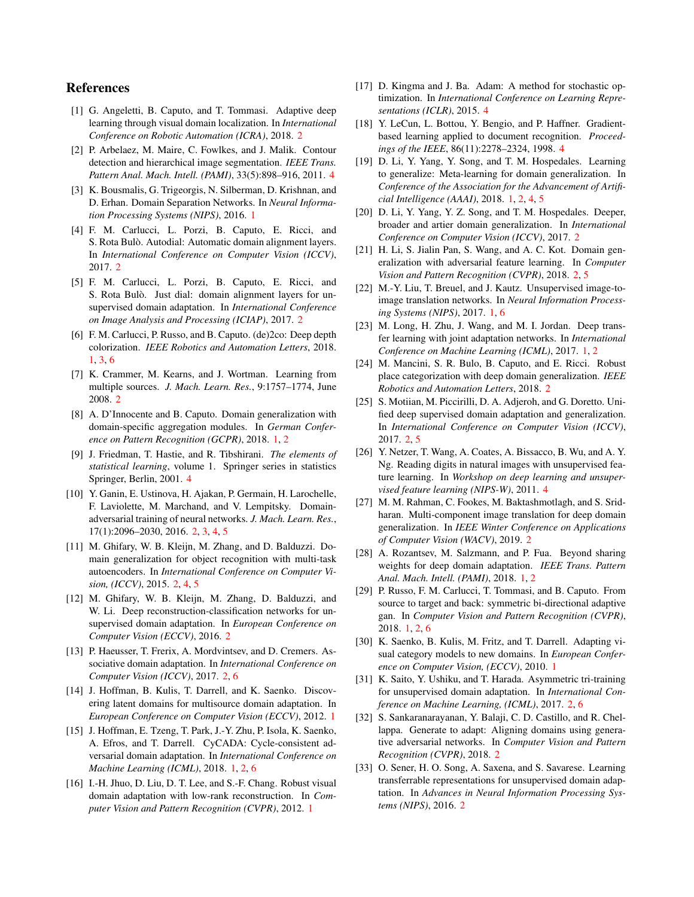# **References**

- [1] G. Angeletti, B. Caputo, and T. Tommasi. Adaptive deep learning through visual domain localization. In *International Conference on Robotic Automation (ICRA)*, 2018. 2
- [2] P. Arbelaez, M. Maire, C. Fowlkes, and J. Malik. Contour detection and hierarchical image segmentation. *IEEE Trans. Pattern Anal. Mach. Intell. (PAMI)*, 33(5):898–916, 2011. 4
- [3] K. Bousmalis, G. Trigeorgis, N. Silberman, D. Krishnan, and D. Erhan. Domain Separation Networks. In *Neural Information Processing Systems (NIPS)*, 2016. 1
- [4] F. M. Carlucci, L. Porzi, B. Caputo, E. Ricci, and S. Rota Bulo. Autodial: Automatic domain alignment layers. ` In *International Conference on Computer Vision (ICCV)*, 2017. 2
- [5] F. M. Carlucci, L. Porzi, B. Caputo, E. Ricci, and S. Rota Bulò. Just dial: domain alignment layers for unsupervised domain adaptation. In *International Conference on Image Analysis and Processing (ICIAP)*, 2017. 2
- [6] F. M. Carlucci, P. Russo, and B. Caputo. (de)2co: Deep depth colorization. *IEEE Robotics and Automation Letters*, 2018. 1, 3, 6
- [7] K. Crammer, M. Kearns, and J. Wortman. Learning from multiple sources. *J. Mach. Learn. Res.*, 9:1757–1774, June 2008. 2
- [8] A. D'Innocente and B. Caputo. Domain generalization with domain-specific aggregation modules. In *German Conference on Pattern Recognition (GCPR)*, 2018. 1, 2
- [9] J. Friedman, T. Hastie, and R. Tibshirani. *The elements of statistical learning*, volume 1. Springer series in statistics Springer, Berlin, 2001. 4
- [10] Y. Ganin, E. Ustinova, H. Ajakan, P. Germain, H. Larochelle, F. Laviolette, M. Marchand, and V. Lempitsky. Domainadversarial training of neural networks. *J. Mach. Learn. Res.*, 17(1):2096–2030, 2016. 2, 3, 4, 5
- [11] M. Ghifary, W. B. Kleijn, M. Zhang, and D. Balduzzi. Domain generalization for object recognition with multi-task autoencoders. In *International Conference on Computer Vision, (ICCV)*, 2015. 2, 4, 5
- [12] M. Ghifary, W. B. Kleijn, M. Zhang, D. Balduzzi, and W. Li. Deep reconstruction-classification networks for unsupervised domain adaptation. In *European Conference on Computer Vision (ECCV)*, 2016. 2
- [13] P. Haeusser, T. Frerix, A. Mordvintsev, and D. Cremers. Associative domain adaptation. In *International Conference on Computer Vision (ICCV)*, 2017. 2, 6
- [14] J. Hoffman, B. Kulis, T. Darrell, and K. Saenko. Discovering latent domains for multisource domain adaptation. In *European Conference on Computer Vision (ECCV)*, 2012. 1
- [15] J. Hoffman, E. Tzeng, T. Park, J.-Y. Zhu, P. Isola, K. Saenko, A. Efros, and T. Darrell. CyCADA: Cycle-consistent adversarial domain adaptation. In *International Conference on Machine Learning (ICML)*, 2018. 1, 2, 6
- [16] I.-H. Jhuo, D. Liu, D. T. Lee, and S.-F. Chang. Robust visual domain adaptation with low-rank reconstruction. In *Computer Vision and Pattern Recognition (CVPR)*, 2012. 1
- [17] D. Kingma and J. Ba. Adam: A method for stochastic optimization. In *International Conference on Learning Representations (ICLR)*, 2015. 4
- [18] Y. LeCun, L. Bottou, Y. Bengio, and P. Haffner. Gradientbased learning applied to document recognition. *Proceedings of the IEEE*, 86(11):2278–2324, 1998. 4
- [19] D. Li, Y. Yang, Y. Song, and T. M. Hospedales. Learning to generalize: Meta-learning for domain generalization. In *Conference of the Association for the Advancement of Artificial Intelligence (AAAI)*, 2018. 1, 2, 4, 5
- [20] D. Li, Y. Yang, Y. Z. Song, and T. M. Hospedales. Deeper, broader and artier domain generalization. In *International Conference on Computer Vision (ICCV)*, 2017. 2
- [21] H. Li, S. Jialin Pan, S. Wang, and A. C. Kot. Domain generalization with adversarial feature learning. In *Computer Vision and Pattern Recognition (CVPR)*, 2018. 2, 5
- [22] M.-Y. Liu, T. Breuel, and J. Kautz. Unsupervised image-toimage translation networks. In *Neural Information Processing Systems (NIPS)*, 2017. 1, 6
- [23] M. Long, H. Zhu, J. Wang, and M. I. Jordan. Deep transfer learning with joint adaptation networks. In *International Conference on Machine Learning (ICML)*, 2017. 1, 2
- [24] M. Mancini, S. R. Bulo, B. Caputo, and E. Ricci. Robust place categorization with deep domain generalization. *IEEE Robotics and Automation Letters*, 2018. 2
- [25] S. Motiian, M. Piccirilli, D. A. Adjeroh, and G. Doretto. Unified deep supervised domain adaptation and generalization. In *International Conference on Computer Vision (ICCV)*, 2017. 2, 5
- [26] Y. Netzer, T. Wang, A. Coates, A. Bissacco, B. Wu, and A. Y. Ng. Reading digits in natural images with unsupervised feature learning. In *Workshop on deep learning and unsupervised feature learning (NIPS-W)*, 2011. 4
- [27] M. M. Rahman, C. Fookes, M. Baktashmotlagh, and S. Sridharan. Multi-component image translation for deep domain generalization. In *IEEE Winter Conference on Applications of Computer Vision (WACV)*, 2019. 2
- [28] A. Rozantsev, M. Salzmann, and P. Fua. Beyond sharing weights for deep domain adaptation. *IEEE Trans. Pattern Anal. Mach. Intell. (PAMI)*, 2018. 1, 2
- [29] P. Russo, F. M. Carlucci, T. Tommasi, and B. Caputo. From source to target and back: symmetric bi-directional adaptive gan. In *Computer Vision and Pattern Recognition (CVPR)*, 2018. 1, 2, 6
- [30] K. Saenko, B. Kulis, M. Fritz, and T. Darrell. Adapting visual category models to new domains. In *European Conference on Computer Vision, (ECCV)*, 2010. 1
- [31] K. Saito, Y. Ushiku, and T. Harada. Asymmetric tri-training for unsupervised domain adaptation. In *International Conference on Machine Learning, (ICML)*, 2017. 2, 6
- [32] S. Sankaranarayanan, Y. Balaji, C. D. Castillo, and R. Chellappa. Generate to adapt: Aligning domains using generative adversarial networks. In *Computer Vision and Pattern Recognition (CVPR)*, 2018. 2
- [33] O. Sener, H. O. Song, A. Saxena, and S. Savarese. Learning transferrable representations for unsupervised domain adaptation. In *Advances in Neural Information Processing Systems (NIPS)*, 2016. 2